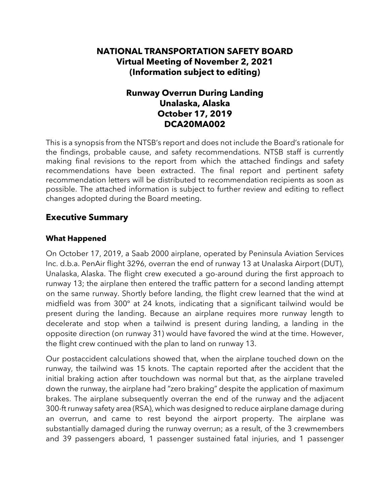# **NATIONAL TRANSPORTATION SAFETY BOARD Virtual Meeting of November 2, 2021 (Information subject to editing)**

# **Runway Overrun During Landing Unalaska, Alaska October 17, 2019 DCA20MA002**

This is a synopsis from the NTSB's report and does not include the Board's rationale for the findings, probable cause, and safety recommendations. NTSB staff is currently making final revisions to the report from which the attached findings and safety recommendations have been extracted. The final report and pertinent safety recommendation letters will be distributed to recommendation recipients as soon as possible. The attached information is subject to further review and editing to reflect changes adopted during the Board meeting.

# **Executive Summary**

### **What Happened**

On October 17, 2019, a Saab 2000 airplane, operated by Peninsula Aviation Services Inc. d.b.a. PenAir flight 3296, overran the end of runway 13 at Unalaska Airport (DUT), Unalaska, Alaska. The flight crew executed a go-around during the first approach to runway 13; the airplane then entered the traffic pattern for a second landing attempt on the same runway. Shortly before landing, the flight crew learned that the wind at midfield was from 300° at 24 knots, indicating that a significant tailwind would be present during the landing. Because an airplane requires more runway length to decelerate and stop when a tailwind is present during landing, a landing in the opposite direction (on runway 31) would have favored the wind at the time. However, the flight crew continued with the plan to land on runway 13.

Our postaccident calculations showed that, when the airplane touched down on the runway, the tailwind was 15 knots. The captain reported after the accident that the initial braking action after touchdown was normal but that, as the airplane traveled down the runway, the airplane had "zero braking" despite the application of maximum brakes. The airplane subsequently overran the end of the runway and the adjacent 300-ft runway safety area (RSA), which was designed to reduce airplane damage during an overrun, and came to rest beyond the airport property. The airplane was substantially damaged during the runway overrun; as a result, of the 3 crewmembers and 39 passengers aboard, 1 passenger sustained fatal injuries, and 1 passenger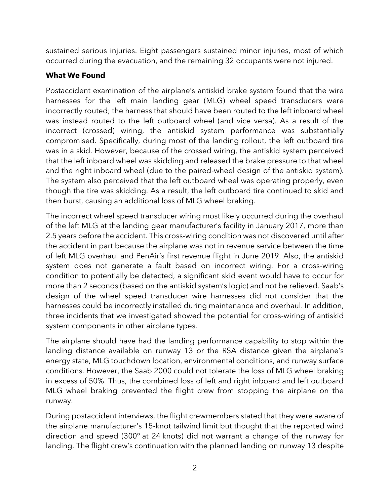sustained serious injuries. Eight passengers sustained minor injuries, most of which occurred during the evacuation, and the remaining 32 occupants were not injured.

## **What We Found**

Postaccident examination of the airplane's antiskid brake system found that the wire harnesses for the left main landing gear (MLG) wheel speed transducers were incorrectly routed; the harness that should have been routed to the left inboard wheel was instead routed to the left outboard wheel (and vice versa). As a result of the incorrect (crossed) wiring, the antiskid system performance was substantially compromised. Specifically, during most of the landing rollout, the left outboard tire was in a skid. However, because of the crossed wiring, the antiskid system perceived that the left inboard wheel was skidding and released the brake pressure to that wheel and the right inboard wheel (due to the paired-wheel design of the antiskid system). The system also perceived that the left outboard wheel was operating properly, even though the tire was skidding. As a result, the left outboard tire continued to skid and then burst, causing an additional loss of MLG wheel braking.

The incorrect wheel speed transducer wiring most likely occurred during the overhaul of the left MLG at the landing gear manufacturer's facility in January 2017, more than 2.5 years before the accident. This cross-wiring condition was not discovered until after the accident in part because the airplane was not in revenue service between the time of left MLG overhaul and PenAir's first revenue flight in June 2019. Also, the antiskid system does not generate a fault based on incorrect wiring. For a cross-wiring condition to potentially be detected, a significant skid event would have to occur for more than 2 seconds (based on the antiskid system's logic) and not be relieved. Saab's design of the wheel speed transducer wire harnesses did not consider that the harnesses could be incorrectly installed during maintenance and overhaul. In addition, three incidents that we investigated showed the potential for cross-wiring of antiskid system components in other airplane types.

The airplane should have had the landing performance capability to stop within the landing distance available on runway 13 or the RSA distance given the airplane's energy state, MLG touchdown location, environmental conditions, and runway surface conditions. However, the Saab 2000 could not tolerate the loss of MLG wheel braking in excess of 50%. Thus, the combined loss of left and right inboard and left outboard MLG wheel braking prevented the flight crew from stopping the airplane on the runway.

During postaccident interviews, the flight crewmembers stated that they were aware of the airplane manufacturer's 15-knot tailwind limit but thought that the reported wind direction and speed (300° at 24 knots) did not warrant a change of the runway for landing. The flight crew's continuation with the planned landing on runway 13 despite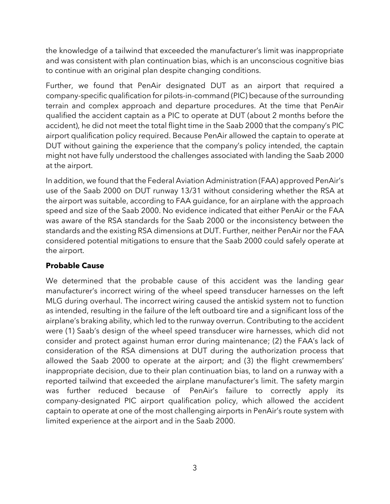the knowledge of a tailwind that exceeded the manufacturer's limit was inappropriate and was consistent with plan continuation bias, which is an unconscious cognitive bias to continue with an original plan despite changing conditions.

Further, we found that PenAir designated DUT as an airport that required a company-specific qualification for pilots-in-command (PIC) because of the surrounding terrain and complex approach and departure procedures. At the time that PenAir qualified the accident captain as a PIC to operate at DUT (about 2 months before the accident), he did not meet the total flight time in the Saab 2000 that the company's PIC airport qualification policy required. Because PenAir allowed the captain to operate at DUT without gaining the experience that the company's policy intended, the captain might not have fully understood the challenges associated with landing the Saab 2000 at the airport.

In addition, we found that the Federal Aviation Administration (FAA) approved PenAir's use of the Saab 2000 on DUT runway 13/31 without considering whether the RSA at the airport was suitable, according to FAA guidance, for an airplane with the approach speed and size of the Saab 2000. No evidence indicated that either PenAir or the FAA was aware of the RSA standards for the Saab 2000 or the inconsistency between the standards and the existing RSA dimensions at DUT. Further, neither PenAir nor the FAA considered potential mitigations to ensure that the Saab 2000 could safely operate at the airport.

## **Probable Cause**

We determined that the probable cause of this accident was the landing gear manufacturer's incorrect wiring of the wheel speed transducer harnesses on the left MLG during overhaul. The incorrect wiring caused the antiskid system not to function as intended, resulting in the failure of the left outboard tire and a significant loss of the airplane's braking ability, which led to the runway overrun. Contributing to the accident were (1) Saab's design of the wheel speed transducer wire harnesses, which did not consider and protect against human error during maintenance; (2) the FAA's lack of consideration of the RSA dimensions at DUT during the authorization process that allowed the Saab 2000 to operate at the airport; and (3) the flight crewmembers' inappropriate decision, due to their plan continuation bias, to land on a runway with a reported tailwind that exceeded the airplane manufacturer's limit. The safety margin was further reduced because of PenAir's failure to correctly apply its company-designated PIC airport qualification policy, which allowed the accident captain to operate at one of the most challenging airports in PenAir's route system with limited experience at the airport and in the Saab 2000.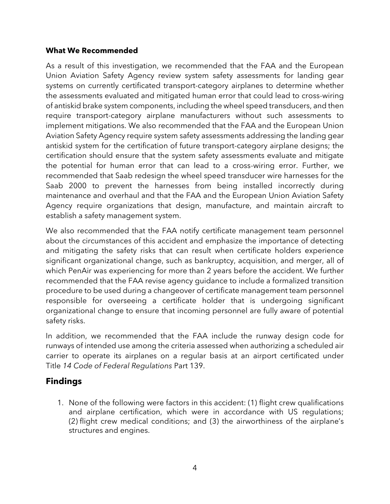#### **What We Recommended**

As a result of this investigation, we recommended that the FAA and the European Union Aviation Safety Agency review system safety assessments for landing gear systems on currently certificated transport-category airplanes to determine whether the assessments evaluated and mitigated human error that could lead to cross-wiring of antiskid brake system components, including the wheel speed transducers, and then require transport-category airplane manufacturers without such assessments to implement mitigations. We also recommended that the FAA and the European Union Aviation Safety Agency require system safety assessments addressing the landing gear antiskid system for the certification of future transport-category airplane designs; the certification should ensure that the system safety assessments evaluate and mitigate the potential for human error that can lead to a cross-wiring error. Further, we recommended that Saab redesign the wheel speed transducer wire harnesses for the Saab 2000 to prevent the harnesses from being installed incorrectly during maintenance and overhaul and that the FAA and the European Union Aviation Safety Agency require organizations that design, manufacture, and maintain aircraft to establish a safety management system.

We also recommended that the FAA notify certificate management team personnel about the circumstances of this accident and emphasize the importance of detecting and mitigating the safety risks that can result when certificate holders experience significant organizational change, such as bankruptcy, acquisition, and merger, all of which PenAir was experiencing for more than 2 years before the accident. We further recommended that the FAA revise agency guidance to include a formalized transition procedure to be used during a changeover of certificate management team personnel responsible for overseeing a certificate holder that is undergoing significant organizational change to ensure that incoming personnel are fully aware of potential safety risks.

In addition, we recommended that the FAA include the runway design code for runways of intended use among the criteria assessed when authorizing a scheduled air carrier to operate its airplanes on a regular basis at an airport certificated under Title *14 Code of Federal Regulations* Part 139.

## **Findings**

1. None of the following were factors in this accident: (1) flight crew qualifications and airplane certification, which were in accordance with US regulations; (2) flight crew medical conditions; and (3) the airworthiness of the airplane's structures and engines.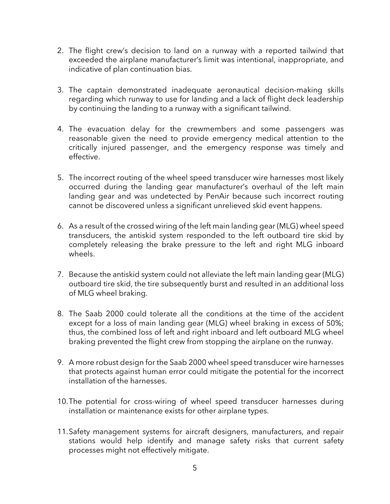- 2. The flight crew's decision to land on a runway with a reported tailwind that exceeded the airplane manufacturer's limit was intentional, inappropriate, and indicative of plan continuation bias.
- 3. The captain demonstrated inadequate aeronautical decision-making skills regarding which runway to use for landing and a lack of flight deck leadership by continuing the landing to a runway with a significant tailwind.
- 4. The evacuation delay for the crewmembers and some passengers was reasonable given the need to provide emergency medical attention to the critically injured passenger, and the emergency response was timely and effective.
- 5. The incorrect routing of the wheel speed transducer wire harnesses most likely occurred during the landing gear manufacturer's overhaul of the left main landing gear and was undetected by PenAir because such incorrect routing cannot be discovered unless a significant unrelieved skid event happens.
- 6. As a result of the crossed wiring of the left main landing gear (MLG) wheel speed transducers, the antiskid system responded to the left outboard tire skid by completely releasing the brake pressure to the left and right MLG inboard wheels.
- 7. Because the antiskid system could not alleviate the left main landing gear (MLG) outboard tire skid, the tire subsequently burst and resulted in an additional loss of MLG wheel braking.
- 8. The Saab 2000 could tolerate all the conditions at the time of the accident except for a loss of main landing gear (MLG) wheel braking in excess of 50%; thus, the combined loss of left and right inboard and left outboard MLG wheel braking prevented the flight crew from stopping the airplane on the runway.
- 9. A more robust design for the Saab 2000 wheel speed transducer wire harnesses that protects against human error could mitigate the potential for the incorrect installation of the harnesses.
- 10.The potential for cross-wiring of wheel speed transducer harnesses during installation or maintenance exists for other airplane types.
- 11.Safety management systems for aircraft designers, manufacturers, and repair stations would help identify and manage safety risks that current safety processes might not effectively mitigate.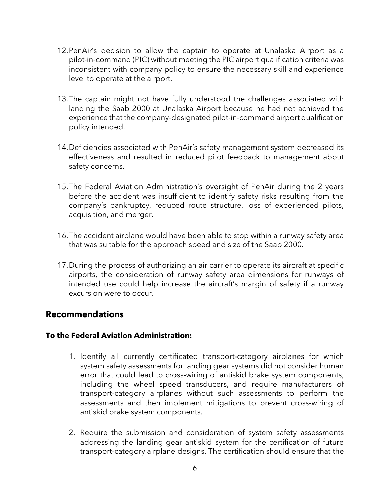- 12.PenAir's decision to allow the captain to operate at Unalaska Airport as a pilot-in-command (PIC) without meeting the PIC airport qualification criteria was inconsistent with company policy to ensure the necessary skill and experience level to operate at the airport.
- 13.The captain might not have fully understood the challenges associated with landing the Saab 2000 at Unalaska Airport because he had not achieved the experience that the company-designated pilot-in-command airport qualification policy intended.
- 14.Deficiencies associated with PenAir's safety management system decreased its effectiveness and resulted in reduced pilot feedback to management about safety concerns.
- 15.The Federal Aviation Administration's oversight of PenAir during the 2 years before the accident was insufficient to identify safety risks resulting from the company's bankruptcy, reduced route structure, loss of experienced pilots, acquisition, and merger.
- 16.The accident airplane would have been able to stop within a runway safety area that was suitable for the approach speed and size of the Saab 2000.
- 17.During the process of authorizing an air carrier to operate its aircraft at specific airports, the consideration of runway safety area dimensions for runways of intended use could help increase the aircraft's margin of safety if a runway excursion were to occur.

## **Recommendations**

### **To the Federal Aviation Administration:**

- 1. Identify all currently certificated transport-category airplanes for which system safety assessments for landing gear systems did not consider human error that could lead to cross-wiring of antiskid brake system components, including the wheel speed transducers, and require manufacturers of transport-category airplanes without such assessments to perform the assessments and then implement mitigations to prevent cross-wiring of antiskid brake system components.
- 2. Require the submission and consideration of system safety assessments addressing the landing gear antiskid system for the certification of future transport-category airplane designs. The certification should ensure that the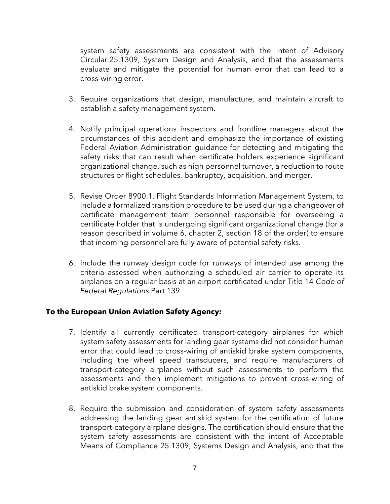system safety assessments are consistent with the intent of Advisory Circular 25.1309, System Design and Analysis, and that the assessments evaluate and mitigate the potential for human error that can lead to a cross-wiring error.

- 3. Require organizations that design, manufacture, and maintain aircraft to establish a safety management system.
- 4. Notify principal operations inspectors and frontline managers about the circumstances of this accident and emphasize the importance of existing Federal Aviation Administration guidance for detecting and mitigating the safety risks that can result when certificate holders experience significant organizational change, such as high personnel turnover, a reduction to route structures or flight schedules, bankruptcy, acquisition, and merger.
- 5. Revise Order 8900.1, Flight Standards Information Management System, to include a formalized transition procedure to be used during a changeover of certificate management team personnel responsible for overseeing a certificate holder that is undergoing significant organizational change (for a reason described in volume 6, chapter 2, section 18 of the order) to ensure that incoming personnel are fully aware of potential safety risks.
- 6. Include the runway design code for runways of intended use among the criteria assessed when authorizing a scheduled air carrier to operate its airplanes on a regular basis at an airport certificated under Title 14 *Code of Federal Regulations* Part 139.

#### **To the European Union Aviation Safety Agency:**

- 7. Identify all currently certificated transport-category airplanes for which system safety assessments for landing gear systems did not consider human error that could lead to cross-wiring of antiskid brake system components, including the wheel speed transducers, and require manufacturers of transport-category airplanes without such assessments to perform the assessments and then implement mitigations to prevent cross-wiring of antiskid brake system components.
- 8. Require the submission and consideration of system safety assessments addressing the landing gear antiskid system for the certification of future transport-category airplane designs. The certification should ensure that the system safety assessments are consistent with the intent of Acceptable Means of Compliance 25.1309, Systems Design and Analysis, and that the